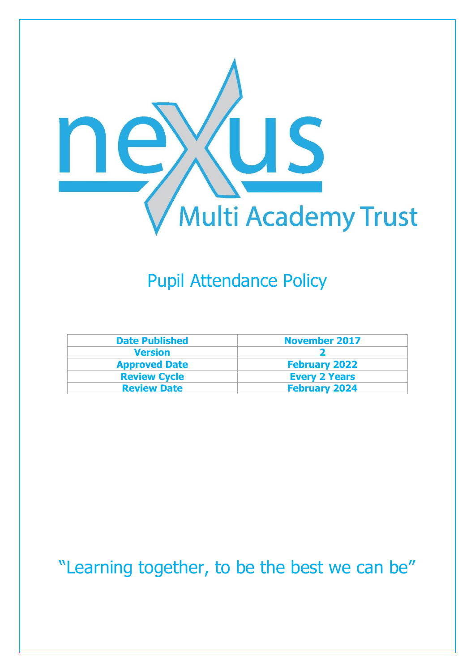

# Pupil Attendance Policy

| <b>Date Published</b> | <b>November 2017</b> |
|-----------------------|----------------------|
| <b>Version</b>        |                      |
| <b>Approved Date</b>  | <b>February 2022</b> |
| <b>Review Cycle</b>   | <b>Every 2 Years</b> |
| <b>Review Date</b>    | <b>February 2024</b> |

"Learning together, to be the best we can be"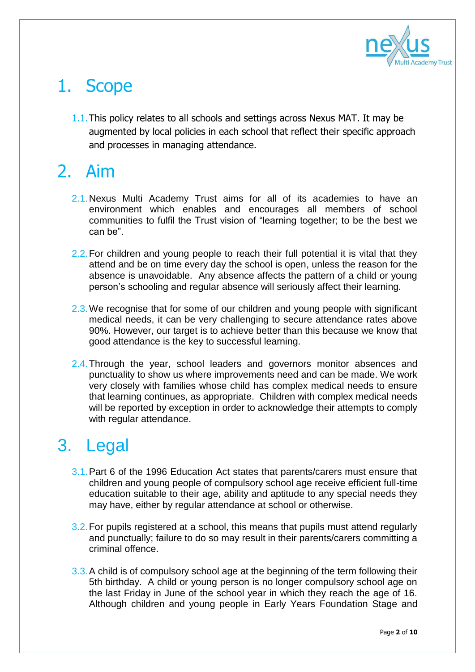

# 1. Scope

1.1.This policy relates to all schools and settings across Nexus MAT. It may be augmented by local policies in each school that reflect their specific approach and processes in managing attendance.

# 2. Aim

- 2.1.Nexus Multi Academy Trust aims for all of its academies to have an environment which enables and encourages all members of school communities to fulfil the Trust vision of "learning together; to be the best we can be".
- 2.2. For children and young people to reach their full potential it is vital that they attend and be on time every day the school is open, unless the reason for the absence is unavoidable. Any absence affects the pattern of a child or young person's schooling and regular absence will seriously affect their learning.
- 2.3. We recognise that for some of our children and young people with significant medical needs, it can be very challenging to secure attendance rates above 90%. However, our target is to achieve better than this because we know that good attendance is the key to successful learning.
- 2.4. Through the year, school leaders and governors monitor absences and punctuality to show us where improvements need and can be made. We work very closely with families whose child has complex medical needs to ensure that learning continues, as appropriate. Children with complex medical needs will be reported by exception in order to acknowledge their attempts to comply with regular attendance.

# 3. Legal

- 3.1.Part 6 of the 1996 Education Act states that parents/carers must ensure that children and young people of compulsory school age receive efficient full-time education suitable to their age, ability and aptitude to any special needs they may have, either by regular attendance at school or otherwise.
- 3.2.For pupils registered at a school, this means that pupils must attend regularly and punctually; failure to do so may result in their parents/carers committing a criminal offence.
- 3.3. A child is of compulsory school age at the beginning of the term following their 5th birthday. A child or young person is no longer compulsory school age on the last Friday in June of the school year in which they reach the age of 16. Although children and young people in Early Years Foundation Stage and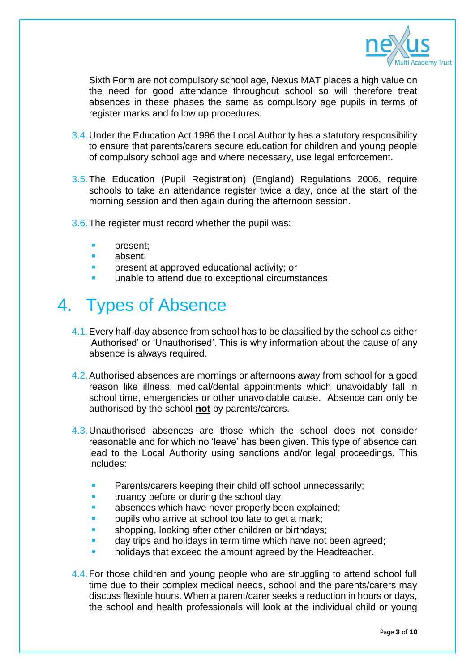

Sixth Form are not compulsory school age, Nexus MAT places a high value on the need for good attendance throughout school so will therefore treat absences in these phases the same as compulsory age pupils in terms of register marks and follow up procedures.

- 3.4.Under the Education Act 1996 the Local Authority has a statutory responsibility to ensure that parents/carers secure education for children and young people of compulsory school age and where necessary, use legal enforcement.
- 3.5.The Education (Pupil Registration) (England) Regulations 2006, require schools to take an attendance register twice a day, once at the start of the morning session and then again during the afternoon session.
- 3.6.The register must record whether the pupil was:
	- present;
	- absent;
	- present at approved educational activity; or
	- unable to attend due to exceptional circumstances

# 4. Types of Absence

- 4.1.Every half-day absence from school has to be classified by the school as either 'Authorised' or 'Unauthorised'. This is why information about the cause of any absence is always required.
- 4.2.Authorised absences are mornings or afternoons away from school for a good reason like illness, medical/dental appointments which unavoidably fall in school time, emergencies or other unavoidable cause. Absence can only be authorised by the school **not** by parents/carers.
- 4.3.Unauthorised absences are those which the school does not consider reasonable and for which no 'leave' has been given. This type of absence can lead to the Local Authority using sanctions and/or legal proceedings. This includes:
	- Parents/carers keeping their child off school unnecessarily;
	- truancy before or during the school day;
	- absences which have never properly been explained;
	- pupils who arrive at school too late to get a mark;
	- shopping, looking after other children or birthdays;
	- day trips and holidays in term time which have not been agreed;
	- holidays that exceed the amount agreed by the Headteacher.
- 4.4. For those children and young people who are struggling to attend school full time due to their complex medical needs, school and the parents/carers may discuss flexible hours. When a parent/carer seeks a reduction in hours or days, the school and health professionals will look at the individual child or young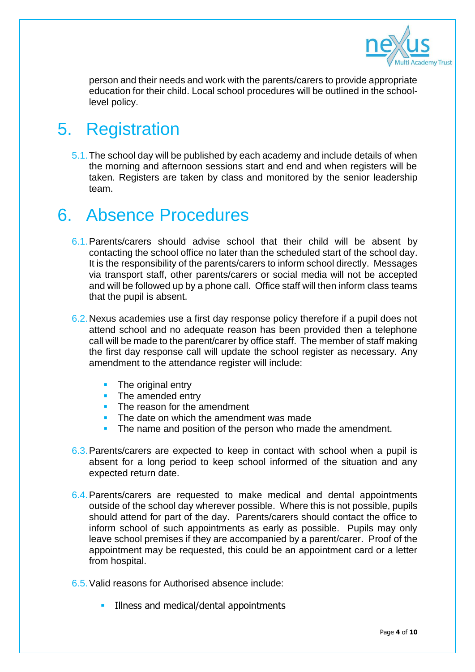

person and their needs and work with the parents/carers to provide appropriate education for their child. Local school procedures will be outlined in the schoollevel policy.

#### 5. Registration

5.1.The school day will be published by each academy and include details of when the morning and afternoon sessions start and end and when registers will be taken. Registers are taken by class and monitored by the senior leadership team.

### 6. Absence Procedures

- 6.1.Parents/carers should advise school that their child will be absent by contacting the school office no later than the scheduled start of the school day. It is the responsibility of the parents/carers to inform school directly. Messages via transport staff, other parents/carers or social media will not be accepted and will be followed up by a phone call. Office staff will then inform class teams that the pupil is absent.
- 6.2.Nexus academies use a first day response policy therefore if a pupil does not attend school and no adequate reason has been provided then a telephone call will be made to the parent/carer by office staff. The member of staff making the first day response call will update the school register as necessary. Any amendment to the attendance register will include:
	- The original entry
	- The amended entry
	- **The reason for the amendment**
	- **The date on which the amendment was made**
	- The name and position of the person who made the amendment.
- 6.3.Parents/carers are expected to keep in contact with school when a pupil is absent for a long period to keep school informed of the situation and any expected return date.
- 6.4.Parents/carers are requested to make medical and dental appointments outside of the school day wherever possible. Where this is not possible, pupils should attend for part of the day. Parents/carers should contact the office to inform school of such appointments as early as possible. Pupils may only leave school premises if they are accompanied by a parent/carer. Proof of the appointment may be requested, this could be an appointment card or a letter from hospital.
- 6.5.Valid reasons for Authorised absence include:
	- Illness and medical/dental appointments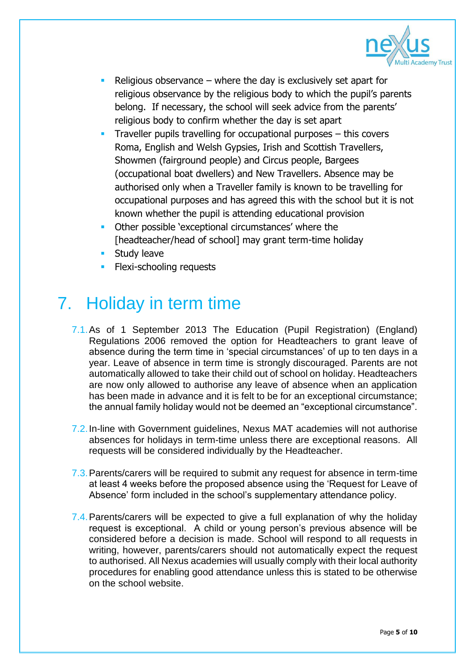

- Religious observance where the day is exclusively set apart for religious observance by the religious body to which the pupil's parents belong. If necessary, the school will seek advice from the parents' religious body to confirm whether the day is set apart
- Traveller pupils travelling for occupational purposes this covers Roma, English and Welsh Gypsies, Irish and Scottish Travellers, Showmen (fairground people) and Circus people, Bargees (occupational boat dwellers) and New Travellers. Absence may be authorised only when a Traveller family is known to be travelling for occupational purposes and has agreed this with the school but it is not known whether the pupil is attending educational provision
- Other possible 'exceptional circumstances' where the [headteacher/head of school] may grant term-time holiday
- Study leave
- Flexi-schooling requests

# 7. Holiday in term time

- 7.1.As of 1 September 2013 The Education (Pupil Registration) (England) Regulations 2006 removed the option for Headteachers to grant leave of absence during the term time in 'special circumstances' of up to ten days in a year. Leave of absence in term time is strongly discouraged. Parents are not automatically allowed to take their child out of school on holiday. Headteachers are now only allowed to authorise any leave of absence when an application has been made in advance and it is felt to be for an exceptional circumstance; the annual family holiday would not be deemed an "exceptional circumstance".
- 7.2.In-line with Government guidelines, Nexus MAT academies will not authorise absences for holidays in term-time unless there are exceptional reasons. All requests will be considered individually by the Headteacher.
- 7.3.Parents/carers will be required to submit any request for absence in term-time at least 4 weeks before the proposed absence using the 'Request for Leave of Absence' form included in the school's supplementary attendance policy.
- 7.4.Parents/carers will be expected to give a full explanation of why the holiday request is exceptional. A child or young person's previous absence will be considered before a decision is made. School will respond to all requests in writing, however, parents/carers should not automatically expect the request to authorised. All Nexus academies will usually comply with their local authority procedures for enabling good attendance unless this is stated to be otherwise on the school website.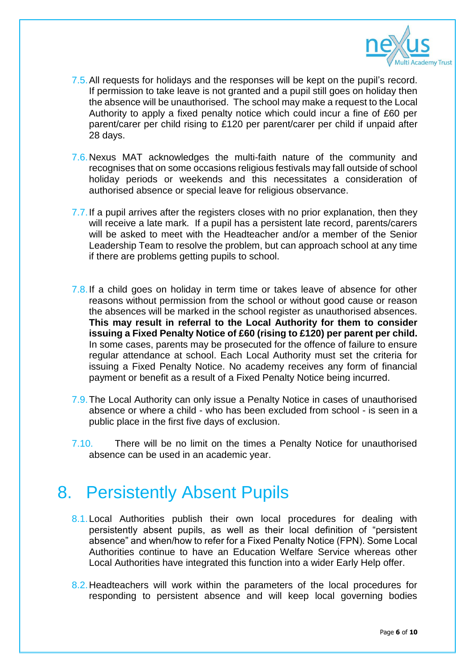

- 7.5.All requests for holidays and the responses will be kept on the pupil's record. If permission to take leave is not granted and a pupil still goes on holiday then the absence will be unauthorised. The school may make a request to the Local Authority to apply a fixed penalty notice which could incur a fine of £60 per parent/carer per child rising to £120 per parent/carer per child if unpaid after 28 days.
- 7.6.Nexus MAT acknowledges the multi-faith nature of the community and recognises that on some occasions religious festivals may fall outside of school holiday periods or weekends and this necessitates a consideration of authorised absence or special leave for religious observance.
- 7.7. If a pupil arrives after the registers closes with no prior explanation, then they will receive a late mark. If a pupil has a persistent late record, parents/carers will be asked to meet with the Headteacher and/or a member of the Senior Leadership Team to resolve the problem, but can approach school at any time if there are problems getting pupils to school.
- 7.8. If a child goes on holiday in term time or takes leave of absence for other reasons without permission from the school or without good cause or reason the absences will be marked in the school register as unauthorised absences. **This may result in referral to the Local Authority for them to consider issuing a Fixed Penalty Notice of £60 (rising to £120) per parent per child.** In some cases, parents may be prosecuted for the offence of failure to ensure regular attendance at school. Each Local Authority must set the criteria for issuing a Fixed Penalty Notice. No academy receives any form of financial payment or benefit as a result of a Fixed Penalty Notice being incurred.
- 7.9.The Local Authority can only issue a Penalty Notice in cases of unauthorised absence or where a child - who has been excluded from school - is seen in a public place in the first five days of exclusion.
- 7.10. There will be no limit on the times a Penalty Notice for unauthorised absence can be used in an academic year.

#### 8. Persistently Absent Pupils

- 8.1. Local Authorities publish their own local procedures for dealing with persistently absent pupils, as well as their local definition of "persistent absence" and when/how to refer for a Fixed Penalty Notice (FPN). Some Local Authorities continue to have an Education Welfare Service whereas other Local Authorities have integrated this function into a wider Early Help offer.
- 8.2. Headteachers will work within the parameters of the local procedures for responding to persistent absence and will keep local governing bodies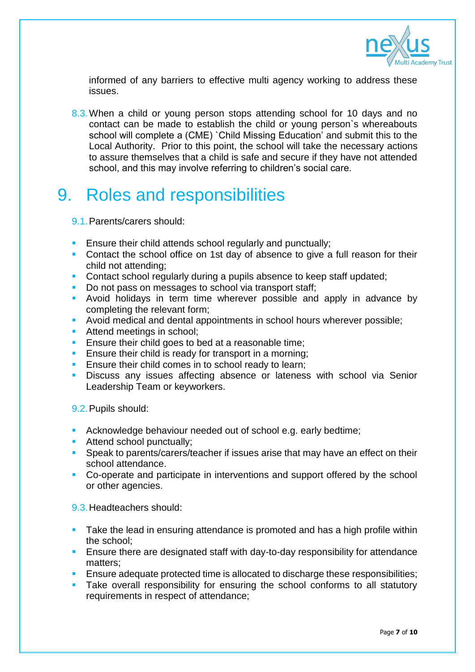

informed of any barriers to effective multi agency working to address these issues.

8.3. When a child or young person stops attending school for 10 days and no contact can be made to establish the child or young person`s whereabouts school will complete a (CME) `Child Missing Education' and submit this to the Local Authority. Prior to this point, the school will take the necessary actions to assure themselves that a child is safe and secure if they have not attended school, and this may involve referring to children's social care.

## 9. Roles and responsibilities

- 9.1.Parents/carers should:
- Ensure their child attends school regularly and punctually;
- **Contact the school office on 1st day of absence to give a full reason for their** child not attending;
- Contact school regularly during a pupils absence to keep staff updated;
- Do not pass on messages to school via transport staff;
- **Avoid holidays in term time wherever possible and apply in advance by** completing the relevant form;
- Avoid medical and dental appointments in school hours wherever possible;
- **Attend meetings in school;**
- **Ensure their child goes to bed at a reasonable time;**
- **Ensure their child is ready for transport in a morning;**
- **Ensure their child comes in to school ready to learn;**
- Discuss any issues affecting absence or lateness with school via Senior Leadership Team or keyworkers.

9.2.Pupils should:

- Acknowledge behaviour needed out of school e.g. early bedtime;
- **Attend school punctually;**
- **Speak to parents/carers/teacher if issues arise that may have an effect on their** school attendance.
- Co-operate and participate in interventions and support offered by the school or other agencies.

9.3.Headteachers should:

- Take the lead in ensuring attendance is promoted and has a high profile within the school;
- **Ensure there are designated staff with day-to-day responsibility for attendance** matters;
- Ensure adequate protected time is allocated to discharge these responsibilities;
- Take overall responsibility for ensuring the school conforms to all statutory requirements in respect of attendance;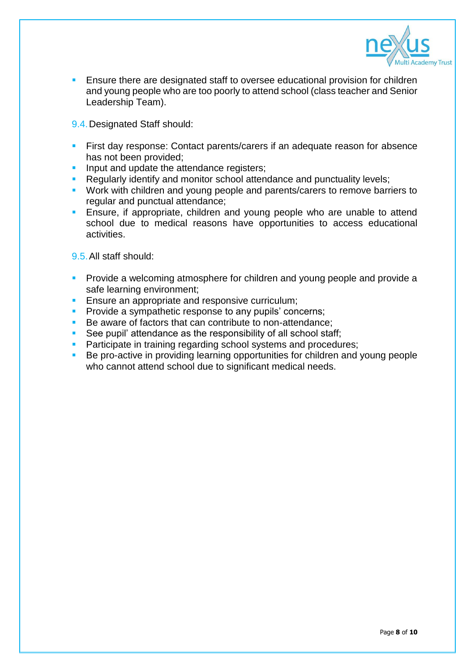

- **Ensure there are designated staff to oversee educational provision for children** and young people who are too poorly to attend school (class teacher and Senior Leadership Team).
- 9.4.Designated Staff should:
- **First day response: Contact parents/carers if an adequate reason for absence** has not been provided;
- Input and update the attendance registers;
- Regularly identify and monitor school attendance and punctuality levels;
- **Work with children and young people and parents/carers to remove barriers to** regular and punctual attendance;
- **Ensure, if appropriate, children and young people who are unable to attend** school due to medical reasons have opportunities to access educational activities.

9.5.All staff should:

- **Provide a welcoming atmosphere for children and young people and provide a** safe learning environment;
- **Ensure an appropriate and responsive curriculum;**
- **Provide a sympathetic response to any pupils' concerns;**
- Be aware of factors that can contribute to non-attendance;
- See pupil' attendance as the responsibility of all school staff;
- **Participate in training regarding school systems and procedures;**
- Be pro-active in providing learning opportunities for children and young people who cannot attend school due to significant medical needs.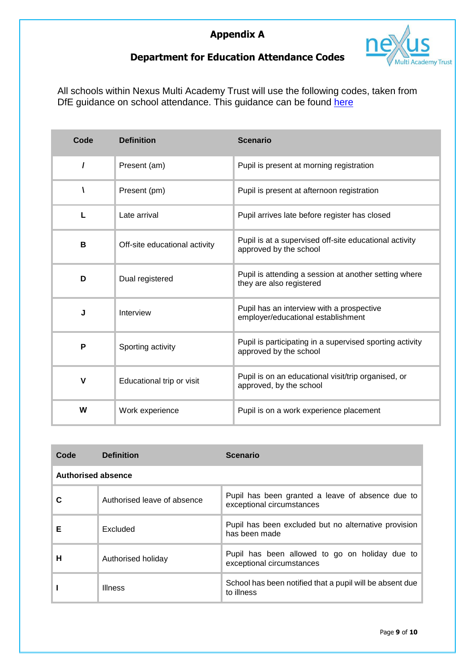

#### **Department for Education Attendance Codes**

All schools within Nexus Multi Academy Trust will use the following codes, taken from DfE guidance on school attendance. This guidance can be found [here](https://assets.publishing.service.gov.uk/government/uploads/system/uploads/attachment_data/file/1039223/School_attendance_guidance_for_2021_to_2022_academic_year.pdf)

| Code     | <b>Definition</b>             | <b>Scenario</b>                                                                    |
|----------|-------------------------------|------------------------------------------------------------------------------------|
| $\prime$ | Present (am)                  | Pupil is present at morning registration                                           |
| V        | Present (pm)                  | Pupil is present at afternoon registration                                         |
| L        | Late arrival                  | Pupil arrives late before register has closed                                      |
| B        | Off-site educational activity | Pupil is at a supervised off-site educational activity<br>approved by the school   |
| D        | Dual registered               | Pupil is attending a session at another setting where<br>they are also registered  |
| J        | Interview                     | Pupil has an interview with a prospective<br>employer/educational establishment    |
| P        | Sporting activity             | Pupil is participating in a supervised sporting activity<br>approved by the school |
| V        | Educational trip or visit     | Pupil is on an educational visit/trip organised, or<br>approved, by the school     |
| W        | Work experience               | Pupil is on a work experience placement                                            |

| Code                      | <b>Definition</b>           | <b>Scenario</b>                                                               |  |
|---------------------------|-----------------------------|-------------------------------------------------------------------------------|--|
| <b>Authorised absence</b> |                             |                                                                               |  |
| С                         | Authorised leave of absence | Pupil has been granted a leave of absence due to<br>exceptional circumstances |  |
| Е                         | Excluded                    | Pupil has been excluded but no alternative provision<br>has been made         |  |
| н                         | Authorised holiday          | Pupil has been allowed to go on holiday due to<br>exceptional circumstances   |  |
|                           | <b>Illness</b>              | School has been notified that a pupil will be absent due<br>to illness        |  |